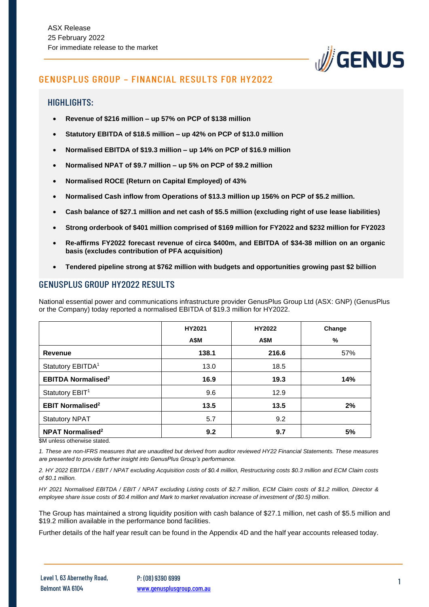

# GENUSPLUS GROUP – FINANCIAL RESULTS FOR HY2022

## HIGHLIGHTS:

- **Revenue of \$216 million – up 57% on PCP of \$138 million**
- **Statutory EBITDA of \$18.5 million – up 42% on PCP of \$13.0 million**
- **Normalised EBITDA of \$19.3 million – up 14% on PCP of \$16.9 million**
- **Normalised NPAT of \$9.7 million – up 5% on PCP of \$9.2 million**
- **Normalised ROCE (Return on Capital Employed) of 43%**
- **Normalised Cash inflow from Operations of \$13.3 million up 156% on PCP of \$5.2 million.**
- **Cash balance of \$27.1 million and net cash of \$5.5 million (excluding right of use lease liabilities)**
- **Strong orderbook of \$401 million comprised of \$169 million for FY2022 and \$232 million for FY2023**
- **Re-affirms FY2022 forecast revenue of circa \$400m, and EBITDA of \$34-38 million on an organic basis (excludes contribution of PFA acquisition)**
- **Tendered pipeline strong at \$762 million with budgets and opportunities growing past \$2 billion**

## GENUSPLUS GROUP HY2022 RESULTS

National essential power and communications infrastructure provider GenusPlus Group Ltd (ASX: GNP) (GenusPlus or the Company) today reported a normalised EBITDA of \$19.3 million for HY2022.

|                                      | HY2021<br><b>A\$M</b> | HY2022<br>A\$M | Change<br>% |
|--------------------------------------|-----------------------|----------------|-------------|
| Revenue                              | 138.1                 | 216.6          | 57%         |
| Statutory EBITDA <sup>1</sup>        | 13.0                  | 18.5           |             |
| <b>EBITDA Normalised<sup>2</sup></b> | 16.9                  | 19.3           | 14%         |
| Statutory EBIT <sup>1</sup>          | 9.6                   | 12.9           |             |
| <b>EBIT Normalised<sup>2</sup></b>   | 13.5                  | 13.5           | 2%          |
| <b>Statutory NPAT</b>                | 5.7                   | 9.2            |             |
| <b>NPAT Normalised<sup>2</sup></b>   | 9.2                   | 9.7            | 5%          |

\$M unless otherwise stated.

*1. These are non-IFRS measures that are unaudited but derived from auditor reviewed HY22 Financial Statements. These measures are presented to provide further insight into GenusPlus Group's performance.*

*2. HY 2022 EBITDA / EBIT / NPAT excluding Acquisition costs of \$0.4 million, Restructuring costs \$0.3 million and ECM Claim costs of \$0.1 million.*

*HY 2021 Normalised EBITDA / EBIT / NPAT excluding Listing costs of \$2.7 million, ECM Claim costs of \$1.2 million, Director & employee share issue costs of \$0.4 million and Mark to market revaluation increase of investment of (\$0.5) million.*

The Group has maintained a strong liquidity position with cash balance of \$27.1 million, net cash of \$5.5 million and \$19.2 million available in the performance bond facilities.

Further details of the half year result can be found in the Appendix 4D and the half year accounts released today.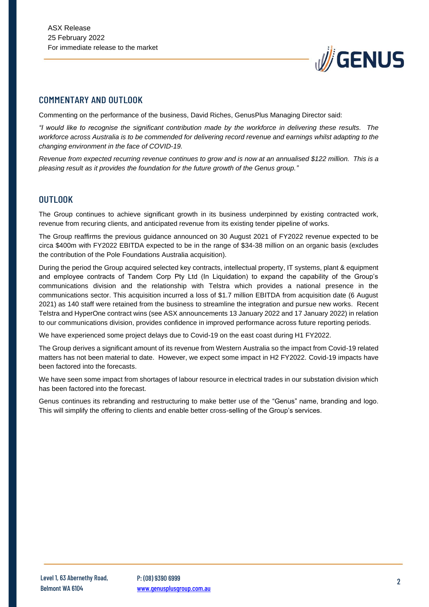

### COMMENTARY AND OUTLOOK

Commenting on the performance of the business, David Riches, GenusPlus Managing Director said:

*"I would like to recognise the significant contribution made by the workforce in delivering these results. The workforce across Australia is to be commended for delivering record revenue and earnings whilst adapting to the changing environment in the face of COVID-19.*

*Revenue from expected recurring revenue continues to grow and is now at an annualised \$122 million. This is a pleasing result as it provides the foundation for the future growth of the Genus group."*

#### OUTLOOK

The Group continues to achieve significant growth in its business underpinned by existing contracted work, revenue from recuring clients, and anticipated revenue from its existing tender pipeline of works.

The Group reaffirms the previous guidance announced on 30 August 2021 of FY2022 revenue expected to be circa \$400m with FY2022 EBITDA expected to be in the range of \$34-38 million on an organic basis (excludes the contribution of the Pole Foundations Australia acquisition).

During the period the Group acquired selected key contracts, intellectual property, IT systems, plant & equipment and employee contracts of Tandem Corp Pty Ltd (In Liquidation) to expand the capability of the Group's communications division and the relationship with Telstra which provides a national presence in the communications sector. This acquisition incurred a loss of \$1.7 million EBITDA from acquisition date (6 August 2021) as 140 staff were retained from the business to streamline the integration and pursue new works. Recent Telstra and HyperOne contract wins (see ASX announcements 13 January 2022 and 17 January 2022) in relation to our communications division, provides confidence in improved performance across future reporting periods.

We have experienced some project delays due to Covid-19 on the east coast during H1 FY2022.

The Group derives a significant amount of its revenue from Western Australia so the impact from Covid-19 related matters has not been material to date. However, we expect some impact in H2 FY2022. Covid-19 impacts have been factored into the forecasts.

We have seen some impact from shortages of labour resource in electrical trades in our substation division which has been factored into the forecast.

Genus continues its rebranding and restructuring to make better use of the "Genus" name, branding and logo. This will simplify the offering to clients and enable better cross-selling of the Group's services.